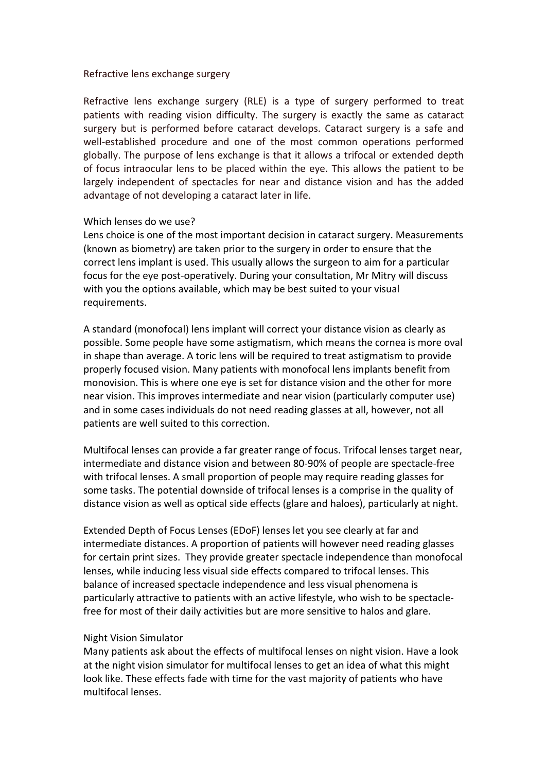#### Refractive lens exchange surgery

Refractive lens exchange surgery (RLE) is a type of surgery performed to treat patients with reading vision difficulty. The surgery is exactly the same as cataract surgery but is performed before cataract develops. Cataract surgery is a safe and well-established procedure and one of the most common operations performed globally. The purpose of lens exchange is that it allows a trifocal or extended depth of focus intraocular lens to be placed within the eye. This allows the patient to be largely independent of spectacles for near and distance vision and has the added advantage of not developing a cataract later in life.

#### Which lenses do we use?

Lens choice is one of the most important decision in cataract surgery. Measurements (known as biometry) are taken prior to the surgery in order to ensure that the correct lens implant is used. This usually allows the surgeon to aim for a particular focus for the eye post-operatively. During your consultation, Mr Mitry will discuss with you the options available, which may be best suited to your visual requirements. 

A standard (monofocal) lens implant will correct your distance vision as clearly as possible. Some people have some astigmatism, which means the cornea is more oval in shape than average. A toric lens will be required to treat astigmatism to provide properly focused vision. Many patients with monofocal lens implants benefit from monovision. This is where one eye is set for distance vision and the other for more near vision. This improves intermediate and near vision (particularly computer use) and in some cases individuals do not need reading glasses at all, however, not all patients are well suited to this correction.

Multifocal lenses can provide a far greater range of focus. Trifocal lenses target near, intermediate and distance vision and between 80-90% of people are spectacle-free with trifocal lenses. A small proportion of people may require reading glasses for some tasks. The potential downside of trifocal lenses is a comprise in the quality of distance vision as well as optical side effects (glare and haloes), particularly at night.

Extended Depth of Focus Lenses (EDoF) lenses let you see clearly at far and intermediate distances. A proportion of patients will however need reading glasses for certain print sizes. They provide greater spectacle independence than monofocal lenses, while inducing less visual side effects compared to trifocal lenses. This balance of increased spectacle independence and less visual phenomena is particularly attractive to patients with an active lifestyle, who wish to be spectaclefree for most of their daily activities but are more sensitive to halos and glare.

## **Night Vision Simulator**

Many patients ask about the effects of multifocal lenses on night vision. Have a look at the night vision simulator for multifocal lenses to get an idea of what this might look like. These effects fade with time for the vast majority of patients who have multifocal lenses.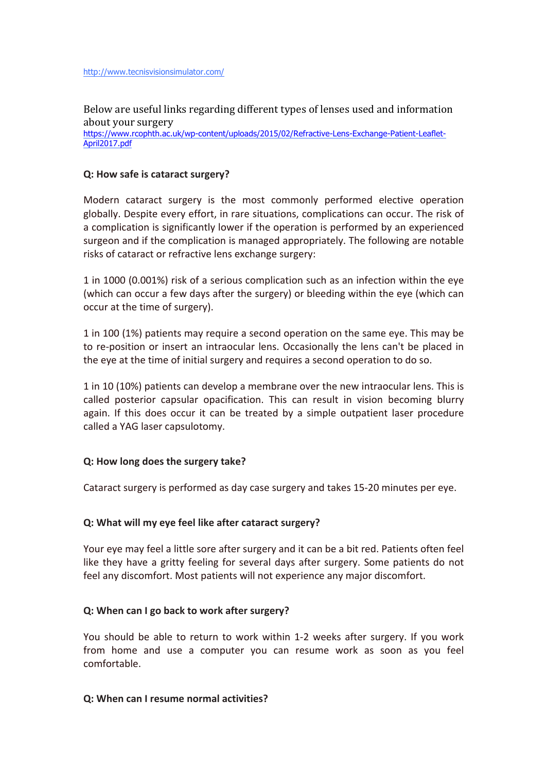Below are useful links regarding different types of lenses used and information about your surgery

https://www.rcophth.ac.uk/wp-content/uploads/2015/02/Refractive-Lens-Exchange-Patient-Leaflet-April2017.pdf

#### **Q:** How safe is cataract surgery?

Modern cataract surgery is the most commonly performed elective operation globally. Despite every effort, in rare situations, complications can occur. The risk of a complication is significantly lower if the operation is performed by an experienced surgeon and if the complication is managed appropriately. The following are notable risks of cataract or refractive lens exchange surgery:

1 in 1000 (0.001%) risk of a serious complication such as an infection within the eye (which can occur a few days after the surgery) or bleeding within the eye (which can occur at the time of surgery).

1 in 100 (1%) patients may require a second operation on the same eye. This may be to re-position or insert an intraocular lens. Occasionally the lens can't be placed in the eye at the time of initial surgery and requires a second operation to do so.

1 in 10 (10%) patients can develop a membrane over the new intraocular lens. This is called posterior capsular opacification. This can result in vision becoming blurry again. If this does occur it can be treated by a simple outpatient laser procedure called a YAG laser capsulotomy.

## **Q:** How long does the surgery take?

Cataract surgery is performed as day case surgery and takes 15-20 minutes per eye.

#### **Q:** What will my eye feel like after cataract surgery?

Your eye may feel a little sore after surgery and it can be a bit red. Patients often feel like they have a gritty feeling for several days after surgery. Some patients do not feel any discomfort. Most patients will not experience any major discomfort.

#### **Q:** When can I go back to work after surgery?

You should be able to return to work within 1-2 weeks after surgery. If you work from home and use a computer you can resume work as soon as you feel comfortable.

#### **Q:** When can I resume normal activities?